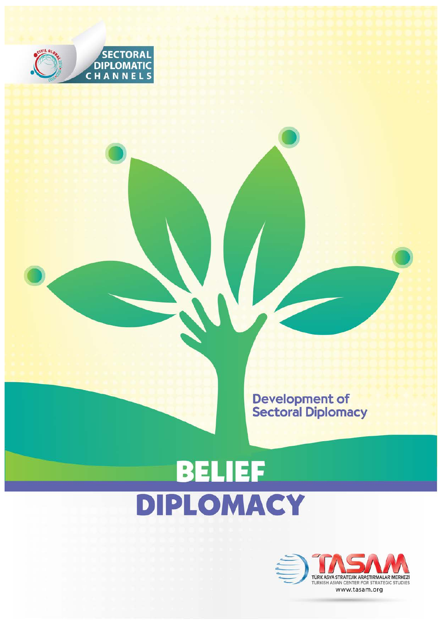

**Development of<br>Sectoral Diplomacy** 

## **BELIEF** DIPLOMACY

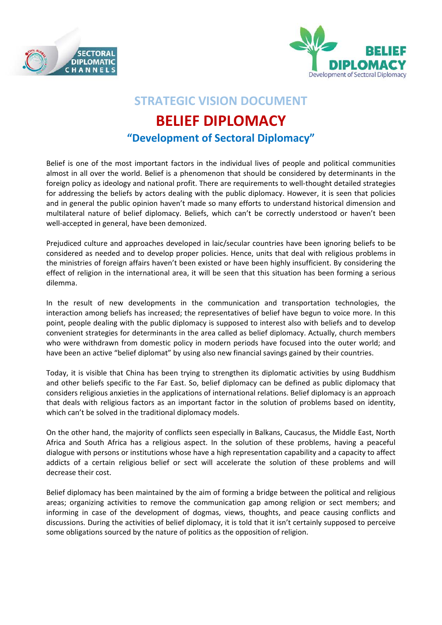



## **STRATEGIC VISION DOCUMENT BELIEF DIPLOMACY "Development of Sectoral Diplomacy"**

Belief is one of the most important factors in the individual lives of people and political communities almost in all over the world. Belief is a phenomenon that should be considered by determinants in the foreign policy as ideology and national profit. There are requirements to well-thought detailed strategies for addressing the beliefs by actors dealing with the public diplomacy. However, it is seen that policies and in general the public opinion haven't made so many efforts to understand historical dimension and multilateral nature of belief diplomacy. Beliefs, which can't be correctly understood or haven't been well-accepted in general, have been demonized.

Prejudiced culture and approaches developed in laic/secular countries have been ignoring beliefs to be considered as needed and to develop proper policies. Hence, units that deal with religious problems in the ministries of foreign affairs haven't been existed or have been highly insufficient. By considering the effect of religion in the international area, it will be seen that this situation has been forming a serious dilemma.

In the result of new developments in the communication and transportation technologies, the interaction among beliefs has increased; the representatives of belief have begun to voice more. In this point, people dealing with the public diplomacy is supposed to interest also with beliefs and to develop convenient strategies for determinants in the area called as belief diplomacy. Actually, church members who were withdrawn from domestic policy in modern periods have focused into the outer world; and have been an active "belief diplomat" by using also new financial savings gained by their countries.

Today, it is visible that China has been trying to strengthen its diplomatic activities by using Buddhism and other beliefs specific to the Far East. So, belief diplomacy can be defined as public diplomacy that considers religious anxieties in the applications of international relations. Belief diplomacy is an approach that deals with religious factors as an important factor in the solution of problems based on identity, which can't be solved in the traditional diplomacy models.

On the other hand, the majority of conflicts seen especially in Balkans, Caucasus, the Middle East, North Africa and South Africa has a religious aspect. In the solution of these problems, having a peaceful dialogue with persons or institutions whose have a high representation capability and a capacity to affect addicts of a certain religious belief or sect will accelerate the solution of these problems and will decrease their cost.

Belief diplomacy has been maintained by the aim of forming a bridge between the political and religious areas; organizing activities to remove the communication gap among religion or sect members; and informing in case of the development of dogmas, views, thoughts, and peace causing conflicts and discussions. During the activities of belief diplomacy, it is told that it isn't certainly supposed to perceive some obligations sourced by the nature of politics as the opposition of religion.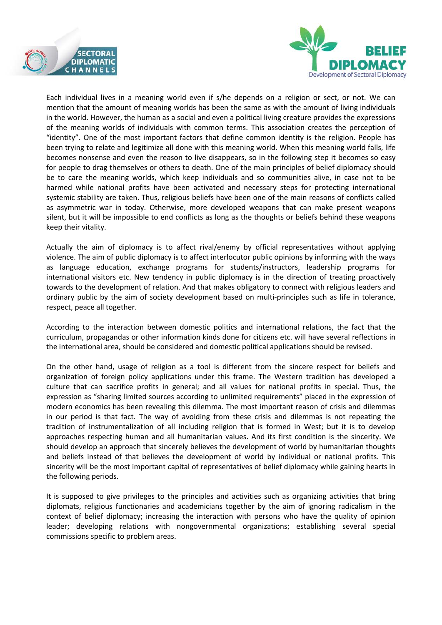



Each individual lives in a meaning world even if s/he depends on a religion or sect, or not. We can mention that the amount of meaning worlds has been the same as with the amount of living individuals in the world. However, the human as a social and even a political living creature provides the expressions of the meaning worlds of individuals with common terms. This association creates the perception of "identity". One of the most important factors that define common identity is the religion. People has been trying to relate and legitimize all done with this meaning world. When this meaning world falls, life becomes nonsense and even the reason to live disappears, so in the following step it becomes so easy for people to drag themselves or others to death. One of the main principles of belief diplomacy should be to care the meaning worlds, which keep individuals and so communities alive, in case not to be harmed while national profits have been activated and necessary steps for protecting international systemic stability are taken. Thus, religious beliefs have been one of the main reasons of conflicts called as asymmetric war in today. Otherwise, more developed weapons that can make present weapons silent, but it will be impossible to end conflicts as long as the thoughts or beliefs behind these weapons keep their vitality.

Actually the aim of diplomacy is to affect rival/enemy by official representatives without applying violence. The aim of public diplomacy is to affect interlocutor public opinions by informing with the ways as language education, exchange programs for students/instructors, leadership programs for international visitors etc. New tendency in public diplomacy is in the direction of treating proactively towards to the development of relation. And that makes obligatory to connect with religious leaders and ordinary public by the aim of society development based on multi-principles such as life in tolerance, respect, peace all together.

According to the interaction between domestic politics and international relations, the fact that the curriculum, propagandas or other information kinds done for citizens etc. will have several reflections in the international area, should be considered and domestic political applications should be revised.

On the other hand, usage of religion as a tool is different from the sincere respect for beliefs and organization of foreign policy applications under this frame. The Western tradition has developed a culture that can sacrifice profits in general; and all values for national profits in special. Thus, the expression as "sharing limited sources according to unlimited requirements" placed in the expression of modern economics has been revealing this dilemma. The most important reason of crisis and dilemmas in our period is that fact. The way of avoiding from these crisis and dilemmas is not repeating the tradition of instrumentalization of all including religion that is formed in West; but it is to develop approaches respecting human and all humanitarian values. And its first condition is the sincerity. We should develop an approach that sincerely believes the development of world by humanitarian thoughts and beliefs instead of that believes the development of world by individual or national profits. This sincerity will be the most important capital of representatives of belief diplomacy while gaining hearts in the following periods.

It is supposed to give privileges to the principles and activities such as organizing activities that bring diplomats, religious functionaries and academicians together by the aim of ignoring radicalism in the context of belief diplomacy; increasing the interaction with persons who have the quality of opinion leader; developing relations with nongovernmental organizations; establishing several special commissions specific to problem areas.